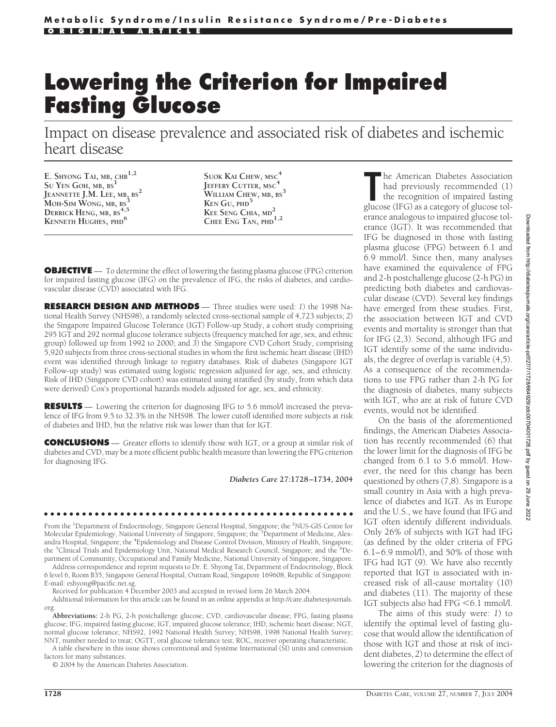# **Lowering the Criterion for Impaired Fasting Glucose**

Impact on disease prevalence and associated risk of diabetes and ischemic heart disease

**E. SHYONG TAI, MB, CHB1,2 SU YEN GOH, MB, BS<sup>1</sup> JEANNETTE J.M. LEE, MB, BS<sup>2</sup> MOH-SIM WONG, MB, BS<sup>3</sup> DERRICK HENG**, MB, BS<sup>4,5</sup> **KENNETH HUGHES, PHD<sup>6</sup>**

**SUOK KAI CHEW, MSC<sup>4</sup> JEFFERY CUTTER, MSC<sup>4</sup> WILLIAM CHEW, MB, BS<sup>3</sup> KEN GU, PHD<sup>5</sup> KEE SENG CHIA, MD<sup>2</sup> CHEE ENG TAN, PHD1,2**

**OBJECTIVE** — To determine the effect of lowering the fasting plasma glucose (FPG) criterion for impaired fasting glucose (IFG) on the prevalence of IFG, the risks of diabetes, and cardiovascular disease (CVD) associated with IFG.

**RESEARCH DESIGN AND METHODS** — Three studies were used: *1*) the 1998 National Health Survey (NHS98), a randomly selected cross-sectional sample of 4,723 subjects; *2*) the Singapore Impaired Glucose Tolerance (IGT) Follow-up Study, a cohort study comprising 295 IGT and 292 normal glucose tolerance subjects (frequency matched for age, sex, and ethnic group) followed up from 1992 to 2000; and *3*) the Singapore CVD Cohort Study, comprising 5,920 subjects from three cross-sectional studies in whom the first ischemic heart disease (IHD) event was identified through linkage to registry databases. Risk of diabetes (Singapore IGT Follow-up study) was estimated using logistic regression adjusted for age, sex, and ethnicity. Risk of IHD (Singapore CVD cohort) was estimated using stratified (by study, from which data were derived) Cox's proportional hazards models adjusted for age, sex, and ethnicity.

**RESULTS** — Lowering the criterion for diagnosing IFG to 5.6 mmol/l increased the prevalence of IFG from 9.5 to 32.3% in the NHS98. The lower cutoff identified more subjects at risk of diabetes and IHD, but the relative risk was lower than that for IGT.

**CONCLUSIONS** — Greater efforts to identify those with IGT, or a group at similar risk of diabetes and CVD, may be a more efficient public health measure than lowering the FPG criterion for diagnosing IFG.

*Diabetes Care* **27:1728–1734, 2004**

From the <sup>1</sup>Department of Endocrinology, Singapore General Hospital, Singapore; the <sup>2</sup>NUS-GIS Centre for Molecular Epidemiology, National University of Singapore, Singapore; the <sup>3</sup>Department of Medicine, Alexandra Hospital, Singapore; the <sup>4</sup>Epidemiology and Disease Control Division, Ministry of Health, Singapore; the <sup>5</sup>Clinical Trials and Epidemiology Unit, National Medical Research Council, Singapore; and the <sup>6</sup>Department of Community, Occupational and Family Medicine, National University of Singapore, Singapore.

●●●●●●●●●●●●●●●●●●●●●●●●●●●●●●●●●●●●●●●●●●●●●●●●●

Address correspondence and reprint requests to Dr. E. Shyong Tai, Department of Endocrinology, Block 6 level 6, Room B35, Singapore General Hospital, Outram Road, Singapore 169608, Republic of Singapore. E-mail: eshyong@pacific.net.sg.

Received for publication 4 December 2003 and accepted in revised form 26 March 2004.

Additional information for this article can be found in an online appendix at http://care.diabetesjournals. org.

**Abbreviations:** 2-h PG, 2-h postchallenge glucose; CVD, cardiovascular disease; FPG, fasting plasma glucose; IFG, impaired fasting glucose; IGT, impaired glucose tolerance; IHD, ischemic heart disease; NGT, normal glucose tolerance; NHS92, 1992 National Health Survey; NHS98, 1998 National Health Survey; NNT, number needed to treat; OGTT, oral glucose tolerance test; ROC, receiver operating characteristic.

A table elsewhere in this issue shows conventional and Système International (SI) units and conversion factors for many substances.

© 2004 by the American Diabetes Association.

**The American Diabetes Association**<br>
had previously recommended (1)<br>
the recognition of impaired fasting<br>
glucose (IFG) as a category of glucose tolhe American Diabetes Association had previously recommended (1) the recognition of impaired fasting erance analogous to impaired glucose tolerance (IGT). It was recommended that IFG be diagnosed in those with fasting plasma glucose (FPG) between 6.1 and 6.9 mmol/l. Since then, many analyses have examined the equivalence of FPG and 2-h postchallenge glucose (2-h PG) in predicting both diabetes and cardiovascular disease (CVD). Several key findings have emerged from these studies. First, the association between IGT and CVD events and mortality is stronger than that for IFG (2,3). Second, although IFG and IGT identify some of the same individuals, the degree of overlap is variable (4,5). As a consequence of the recommendations to use FPG rather than 2-h PG for the diagnosis of diabetes, many subjects with IGT, who are at risk of future CVD events, would not be identified.

On the basis of the aforementioned findings, the American Diabetes Association has recently recommended (6) that the lower limit for the diagnosis of IFG be changed from 6.1 to 5.6 mmol/l. However, the need for this change has been questioned by others (7,8). Singapore is a small country in Asia with a high prevalence of diabetes and IGT. As in Europe and the U.S., we have found that IFG and IGT often identify different individuals. Only 26% of subjects with IGT had IFG (as defined by the older criteria of FPG  $6.1-6.9$  mmol/l), and  $50\%$  of those with IFG had IGT (9). We have also recently reported that IGT is associated with increased risk of all-cause mortality (10) and diabetes (11). The majority of these IGT subjects also had  $FPG < 6.1$  mmol/l.

The aims of this study were: *1*) to identify the optimal level of fasting glucose that would allow the identification of those with IGT and those at risk of incident diabetes, *2*) to determine the effect of lowering the criterion for the diagnosis of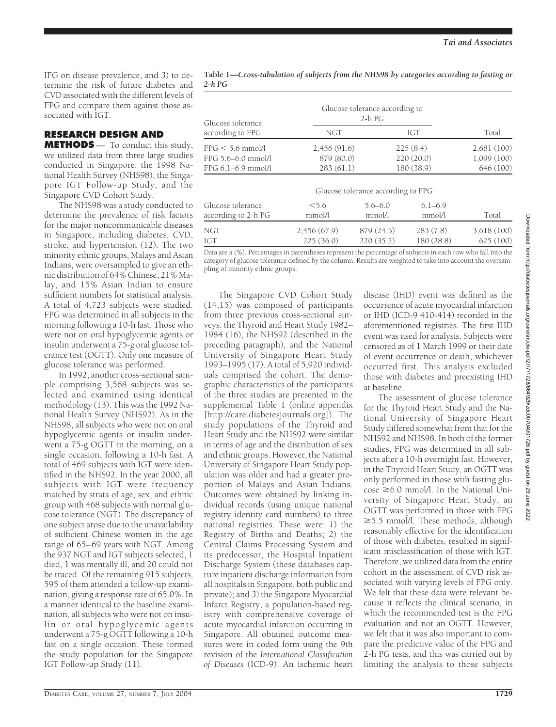IFG on disease prevalence, and *3*) to determine the risk of future diabetes and CVD associated with the different levels of FPG and compare them against those associated with IGT.

### **RESEARCH DESIGN AND**

**METHODS** — To conduct this study, we utilized data from three large studies conducted in Singapore: the 1998 National Health Survey (NHS98), the Singapore IGT Follow-up Study, and the Singapore CVD Cohort Study.

The NHS98 was a study conducted to determine the prevalence of risk factors for the major noncommunicable diseases in Singapore, including diabetes, CVD, stroke, and hypertension (12). The two minority ethnic groups, Malays and Asian Indians, were oversampled to give an ethnic distribution of 64% Chinese, 21% Malay, and 15% Asian Indian to ensure sufficient numbers for statistical analysis. A total of 4,723 subjects were studied. FPG was determined in all subjects in the morning following a 10-h fast. Those who were not on oral hypoglycemic agents or insulin underwent a 75-g oral glucose tolerance test (OGTT). Only one measure of glucose tolerance was performed.

In 1992, another cross-sectional sample comprising 3,568 subjects was selected and examined using identical methodology (13). This was the 1992 National Health Survey (NHS92). As in the NHS98, all subjects who were not on oral hypoglycemic agents or insulin underwent a 75-g OGTT in the morning, on a single occasion, following a 10-h fast. A total of 469 subjects with IGT were identified in the NHS92. In the year 2000, all subjects with IGT were frequency matched by strata of age, sex, and ethnic group with 468 subjects with normal glucose tolerance (NGT). The discrepancy of one subject arose due to the unavailability of sufficient Chinese women in the age range of 65–69 years with NGT. Among the 937 NGT and IGT subjects selected, 1 died, 1 was mentally ill, and 20 could not be traced. Of the remaining 915 subjects, 595 of them attended a follow-up examination, giving a response rate of 65.0%. In a manner identical to the baseline examination, all subjects who were not on insulin or oral hypoglycemic agents underwent a 75-g OGTT following a 10-h fast on a single occasion. These formed the study population for the Singapore IGT Follow-up Study (11).

**Table 1—***Cross-tabulation of subjects from the NHS98 by categories according to fasting or 2-h PG*

| Glucose tolerance                                                |                                        | Glucose tolerance according to<br>$2-h$ $PG$ |                                     |                                        |  |
|------------------------------------------------------------------|----------------------------------------|----------------------------------------------|-------------------------------------|----------------------------------------|--|
| according to FPG                                                 | NGT                                    |                                              | IGT                                 | Total                                  |  |
| $FPG < 5.6$ mmol/l<br>FPG 5.6–6.0 mmol/l<br>FPG $6.1-6.9$ mmol/l | 2,456(91.6)<br>879 (80.0)<br>283(61.1) |                                              | 225(8.4)<br>220(20.0)<br>180 (38.9) | 2,681(100)<br>1,099 (100)<br>646 (100) |  |
|                                                                  |                                        | Glucose tolerance according to FPG           |                                     |                                        |  |
| Glucose tolerance<br>according to 2-h PG                         | 5.6<br>mmol/l                          | $5.6 - 6.0$<br>mmol/l                        | $6.1 - 6.9$<br>mmol/l               | Total                                  |  |
| <b>NGT</b>                                                       | 2,456(67.9)                            | 879 (24.3)                                   | 283(7.8)                            | 3.618(100)                             |  |

IGT 225 (36.0) 220 (35.2) 180 (28.8) 625 (100) Data are *n* (%). Percentages in parentheses represent the percentage of subjects in each row who fall into the category of glucose tolerance defined by the column. Results are weighted to take into account the oversampling of minority ethnic groups.

The Singapore CVD Cohort Study (14,15) was composed of participants from three previous cross-sectional surveys: the Thyroid and Heart Study 1982– 1984 (16), the NHS92 (described in the preceding paragraph), and the National University of Singapore Heart Study 1993–1995 (17). A total of 5,920 individuals comprised the cohort. The demographic characteristics of the participants of the three studies are presented in the supplemental Table 1 (online appendix [http://care.diabetesjournals.org]). The study populations of the Thyroid and Heart Study and the NHS92 were similar in terms of age and the distribution of sex and ethnic groups. However, the National University of Singapore Heart Study population was older and had a greater proportion of Malays and Asian Indians. Outcomes were obtained by linking individual records (using unique national registry identity card numbers) to three national registries. These were: *1*) the Registry of Births and Deaths; *2*) the Central Claims Processing System and its predecessor, the Hospital Inpatient Discharge System (these databases capture inpatient discharge information from all hospitals in Singapore, both public and private); and *3*) the Singapore Myocardial Infarct Registry, a population-based registry with comprehensive coverage of acute myocardial infarction occurring in Singapore. All obtained outcome measures were in coded form using the 9th revision of the *International Classification of Diseases* (ICD-9). An ischemic heart

disease (IHD) event was defined as the occurrence of acute myocardial infarction or IHD (ICD-9 410-414) recorded in the aforementioned registries. The first IHD event was used for analysis. Subjects were censored as of 1 March 1999 or their date of event occurrence or death, whichever occurred first. This analysis excluded those with diabetes and preexisting IHD at baseline.

The assessment of glucose tolerance for the Thyroid Heart Study and the National University of Singapore Heart Study differed somewhat from that for the NHS92 and NHS98. In both of the former studies, FPG was determined in all subjects after a 10-h overnight fast. However, in the Thyroid Heart Study, an OGTT was only performed in those with fasting glu- $\cos \epsilon \geq 6.0$  mmol/l. In the National University of Singapore Heart Study, an OGTT was performed in those with FPG  $\geq$ 5.5 mmol/l. These methods, although reasonably effective for the identification of those with diabetes, resulted in significant misclassification of those with IGT. Therefore, we utilized data from the entire cohort in the assessment of CVD risk associated with varying levels of FPG only. We felt that these data were relevant because it reflects the clinical scenario, in which the recommended test is the FPG evaluation and not an OGTT. However, we felt that it was also important to compare the predictive value of the FPG and 2-h PG tests, and this was carried out by limiting the analysis to those subjects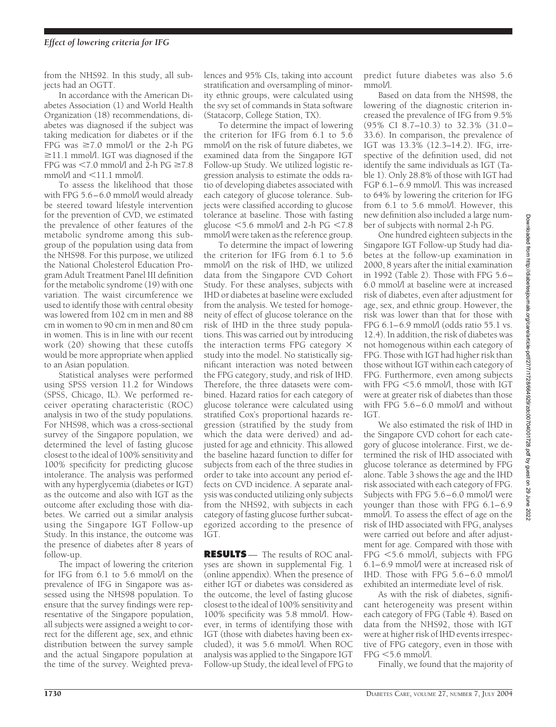from the NHS92. In this study, all subjects had an OGTT.

In accordance with the American Diabetes Association (1) and World Health Organization (18) recommendations, diabetes was diagnosed if the subject was taking medication for diabetes or if the FPG was  $\geq 7.0$  mmol/l or the 2-h PG  $\geq$ 11.1 mmol/l. IGT was diagnosed if the FPG was  $\leq 7.0$  mmol/l and 2-h PG  $\geq 7.8$ mmol $\ell$  and  $\lt 11.1$  mmol $\ell$ .

To assess the likelihood that those with FPG 5.6–6.0 mmol/l would already be steered toward lifestyle intervention for the prevention of CVD, we estimated the prevalence of other features of the metabolic syndrome among this subgroup of the population using data from the NHS98. For this purpose, we utilized the National Cholesterol Education Program Adult Treatment Panel III definition for the metabolic syndrome (19) with one variation. The waist circumference we used to identify those with central obesity was lowered from 102 cm in men and 88 cm in women to 90 cm in men and 80 cm in women. This is in line with our recent work (20) showing that these cutoffs would be more appropriate when applied to an Asian population.

Statistical analyses were performed using SPSS version 11.2 for Windows (SPSS, Chicago, IL). We performed receiver operating characteristic (ROC) analysis in two of the study populations. For NHS98, which was a cross-sectional survey of the Singapore population, we determined the level of fasting glucose closest to the ideal of 100% sensitivity and 100% specificity for predicting glucose intolerance. The analysis was performed with any hyperglycemia (diabetes or IGT) as the outcome and also with IGT as the outcome after excluding those with diabetes. We carried out a similar analysis using the Singapore IGT Follow-up Study. In this instance, the outcome was the presence of diabetes after 8 years of follow-up.

The impact of lowering the criterion for IFG from 6.1 to 5.6 mmol/l on the prevalence of IFG in Singapore was assessed using the NHS98 population. To ensure that the survey findings were representative of the Singapore population, all subjects were assigned a weight to correct for the different age, sex, and ethnic distribution between the survey sample and the actual Singapore population at the time of the survey. Weighted prevalences and 95% CIs, taking into account stratification and oversampling of minority ethnic groups, were calculated using the svy set of commands in Stata software (Statacorp, College Station, TX).

To determine the impact of lowering the criterion for IFG from 6.1 to 5.6 mmol/l on the risk of future diabetes, we examined data from the Singapore IGT Follow-up Study. We utilized logistic regression analysis to estimate the odds ratio of developing diabetes associated with each category of glucose tolerance. Subjects were classified according to glucose tolerance at baseline. Those with fasting glucose  $\leq 5.6$  mmol/l and 2-h PG  $\leq 7.8$ mmol/l were taken as the reference group.

To determine the impact of lowering the criterion for IFG from 6.1 to 5.6 mmol/l on the risk of IHD, we utilized data from the Singapore CVD Cohort Study. For these analyses, subjects with IHD or diabetes at baseline were excluded from the analysis. We tested for homogeneity of effect of glucose tolerance on the risk of IHD in the three study populations. This was carried out by introducing the interaction terms FPG category  $\times$ study into the model. No statistically significant interaction was noted between the FPG category, study, and risk of IHD. Therefore, the three datasets were combined. Hazard ratios for each category of glucose tolerance were calculated using stratified Cox's proportional hazards regression (stratified by the study from which the data were derived) and adjusted for age and ethnicity. This allowed the baseline hazard function to differ for subjects from each of the three studies in order to take into account any period effects on CVD incidence. A separate analysis was conducted utilizing only subjects from the NHS92, with subjects in each category of fasting glucose further subcategorized according to the presence of IGT.

**RESULTS** — The results of ROC analyses are shown in supplemental Fig. 1 (online appendix). When the presence of either IGT or diabetes was considered as the outcome, the level of fasting glucose closest to the ideal of 100% sensitivity and 100% specificity was 5.8 mmol/l. However, in terms of identifying those with IGT (those with diabetes having been excluded), it was 5.6 mmol/l. When ROC analysis was applied to the Singapore IGT Follow-up Study, the ideal level of FPG to

predict future diabetes was also 5.6 mmol/l.

Based on data from the NHS98, the lowering of the diagnostic criterion increased the prevalence of IFG from 9.5% (95% CI 8.7–10.3) to 32.3% (31.0 – 33.6). In comparison, the prevalence of IGT was 13.3% (12.3–14.2). IFG, irrespective of the definition used, did not identify the same individuals as IGT (Table 1). Only 28.8% of those with IGT had FGP 6.1–6.9 mmol/l. This was increased to 64% by lowering the criterion for IFG from 6.1 to 5.6 mmol/l. However, this new definition also included a large number of subjects with normal 2-h PG.

One hundred eighteen subjects in the Singapore IGT Follow-up Study had diabetes at the follow-up examination in 2000, 8 years after the initial examination in 1992 (Table 2). Those with FPG 5.6– 6.0 mmol/l at baseline were at increased risk of diabetes, even after adjustment for age, sex, and ethnic group. However, the risk was lower than that for those with FPG 6.1–6.9 mmol/l (odds ratio 55.1 vs. 12.4). In addition, the risk of diabetes was not homogenous within each category of FPG. Those with IGT had higher risk than those without IGT within each category of FPG. Furthermore, even among subjects with FPG  $<$  5.6 mmol/l, those with IGT were at greater risk of diabetes than those with FPG 5.6-6.0 mmol/l and without IGT.

We also estimated the risk of IHD in the Singapore CVD cohort for each category of glucose intolerance. First, we determined the risk of IHD associated with glucose tolerance as determined by FPG alone. Table 3 shows the age and the IHD risk associated with each category of FPG. Subjects with FPG 5.6–6.0 mmol/l were younger than those with FPG 6.1–6.9 mmol/l. To assess the effect of age on the risk of IHD associated with FPG, analyses were carried out before and after adjustment for age. Compared with those with FPG <5.6 mmol/l, subjects with FPG 6.1–6.9 mmol/l were at increased risk of IHD. Those with FPG 5.6–6.0 mmol/l exhibited an intermediate level of risk.

As with the risk of diabetes, significant heterogeneity was present within each category of FPG (Table 4). Based on data from the NHS92, those with IGT were at higher risk of IHD events irrespective of FPG category, even in those with  $FPG < 5.6$  mmol/l.

Finally, we found that the majority of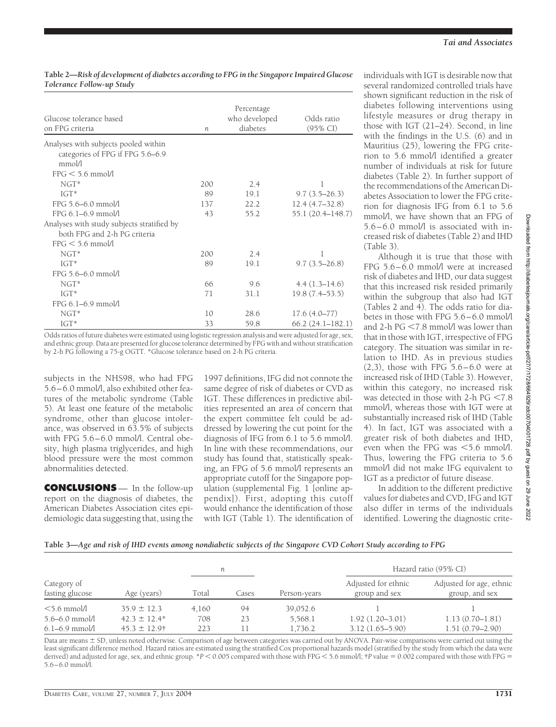## **Table 2—***Risk of development of diabetes according to FPG in the Singapore Impaired Glucose Tolerance Follow-up Study*

| Glucose tolerance based<br>on FPG criteria                                                                 | n   | Percentage<br>who developed<br>diabetes | Odds ratio<br>$(95\% \text{ CI})$ |
|------------------------------------------------------------------------------------------------------------|-----|-----------------------------------------|-----------------------------------|
| Analyses with subjects pooled within<br>categories of FPG if FPG 5.6–6.9<br>mmol/<br>$FPG \leq 5.6$ mmol/l |     |                                         |                                   |
| $NGT^*$                                                                                                    | 200 | 2.4                                     | 1                                 |
| $IGT^*$                                                                                                    | 89  | 19.1                                    | $9.7(3.5-26.3)$                   |
| FPG 5.6–6.0 mmol/l                                                                                         | 137 | 22.2                                    | $12.4(4.7-32.8)$                  |
| FPG $6.1-6.9$ mmol/l                                                                                       | 43  | 55.2                                    | 55.1 (20.4-148.7)                 |
| Analyses with study subjects stratified by<br>both FPG and 2-h PG criteria<br>$FPG < 5.6$ mmol/            |     |                                         |                                   |
| $NGT^*$                                                                                                    | 200 | 2.4                                     | 1                                 |
| $IGT^*$                                                                                                    | 89  | 19.1                                    | $9.7(3.5 - 26.8)$                 |
| FPG 5.6–6.0 mmol/l                                                                                         |     |                                         |                                   |
| $NGT^*$                                                                                                    | 66  | 9.6                                     | $4.4(1.3-14.6)$                   |
| $IGT^*$                                                                                                    | 71  | 31.1                                    | 19.8(7.4–53.5)                    |
| FPG 6.1–6.9 mmol/l                                                                                         |     |                                         |                                   |
| $NGT^*$                                                                                                    | 10  | 28.6                                    | 17.6(4.0–77)                      |
| $IGT^*$                                                                                                    | 33  | 59.8                                    | $66.2(24.1-182.1)$                |

Odds ratios of future diabetes were estimated using logistic regression analysis and were adjusted for age, sex, and ethnic group. Data are presented for glucose tolerance determined by FPG with and without stratification by 2-h PG following a 75-g OGTT. \*Glucose tolerance based on 2-h PG criteria.

subjects in the NHS98, who had FPG 5.6–6.0 mmol/l, also exhibited other features of the metabolic syndrome (Table 5). At least one feature of the metabolic syndrome, other than glucose intolerance, was observed in 63.5% of subjects with FPG 5.6–6.0 mmol/l. Central obesity, high plasma triglycerides, and high blood pressure were the most common abnormalities detected.

**CONCLUSIONS** — In the follow-up report on the diagnosis of diabetes, the American Diabetes Association cites epidemiologic data suggesting that, using the

1997 definitions, IFG did not connote the same degree of risk of diabetes or CVD as IGT. These differences in predictive abilities represented an area of concern that the expert committee felt could be addressed by lowering the cut point for the diagnosis of IFG from 6.1 to 5.6 mmol/l. In line with these recommendations, our study has found that, statistically speaking, an FPG of 5.6 mmol/l represents an appropriate cutoff for the Singapore population (supplemental Fig. 1 [online appendix]). First, adopting this cutoff would enhance the identification of those with IGT (Table 1). The identification of individuals with IGT is desirable now that several randomized controlled trials have shown significant reduction in the risk of diabetes following interventions using lifestyle measures or drug therapy in those with IGT (21–24). Second, in line with the findings in the U.S. (6) and in Mauritius (25), lowering the FPG criterion to 5.6 mmol/l identified a greater number of individuals at risk for future diabetes (Table 2). In further support of the recommendations of the American Diabetes Association to lower the FPG criterion for diagnosis IFG from 6.1 to 5.6 mmol/l, we have shown that an FPG of 5.6 – 6.0 mmol/l is associated with increased risk of diabetes (Table 2) and IHD (Table 3).

Although it is true that those with FPG 5.6–6.0 mmol/l were at increased risk of diabetes and IHD, our data suggest that this increased risk resided primarily within the subgroup that also had IGT (Tables 2 and 4). The odds ratio for diabetes in those with FPG 5.6–6.0 mmol/l and 2-h  $PG < 7.8$  mmol/l was lower than that in those with IGT, irrespective of FPG category. The situation was similar in relation to IHD. As in previous studies (2,3), those with FPG 5.6–6.0 were at increased risk of IHD (Table 3). However, within this category, no increased risk was detected in those with 2-h  $PG < 7.8$ mmol/l, whereas those with IGT were at substantially increased risk of IHD (Table 4). In fact, IGT was associated with a greater risk of both diabetes and IHD, even when the FPG was  $\leq 5.6$  mmol/l. Thus, lowering the FPG criteria to 5.6 mmol/l did not make IFG equivalent to IGT as a predictor of future disease.

In addition to the different predictive values for diabetes and CVD, IFG and IGT also differ in terms of the individuals identified. Lowering the diagnostic crite-

| Table 3—Age and risk of IHD events among nondiabetic subjects of the Singapore CVD Cohort Study according to FPG |  |  |  |
|------------------------------------------------------------------------------------------------------------------|--|--|--|

|                                |                   | п     |       |              | Hazard ratio (95% CI)                |                                            |
|--------------------------------|-------------------|-------|-------|--------------|--------------------------------------|--------------------------------------------|
| Category of<br>fasting glucose | Age (years)       | Total | Cases | Person-years | Adjusted for ethnic<br>group and sex | Adjusted for age, ethnic<br>group, and sex |
| $<$ 5.6 mmol/l                 | $35.9 \pm 12.3$   | 4.160 | 94    | 39,052.6     |                                      |                                            |
| $5.6 - 6.0$ mmol/l             | $42.3 \pm 12.4*$  | 708   | 23    | 5,568.1      | $1.92(1.20-3.01)$                    | $1.13(0.70 - 1.81)$                        |
| $6.1 - 6.9$ mmol/l             | $45.3 \pm 12.9$ † | 223.  | 11    | 1,736.2      | $3.12(1.65 - 5.90)$                  | $1.51(0.79 - 2.90)$                        |

Data are means ± SD, unless noted otherwise. Comparison of age between categories was carried out by ANOVA. Pair-wise comparisons were carried out using the least significant difference method. Hazard ratios are estimated using the stratified Cox proportional hazards model (stratified by the study from which the data were derived) and adjusted for age, sex, and ethnic group. \**P* < 0.005 compared with those with FPG < 5.6 mmol/l; †*P* value = 0.002 compared with those with FPG = 5.6–6.0 mmol/l.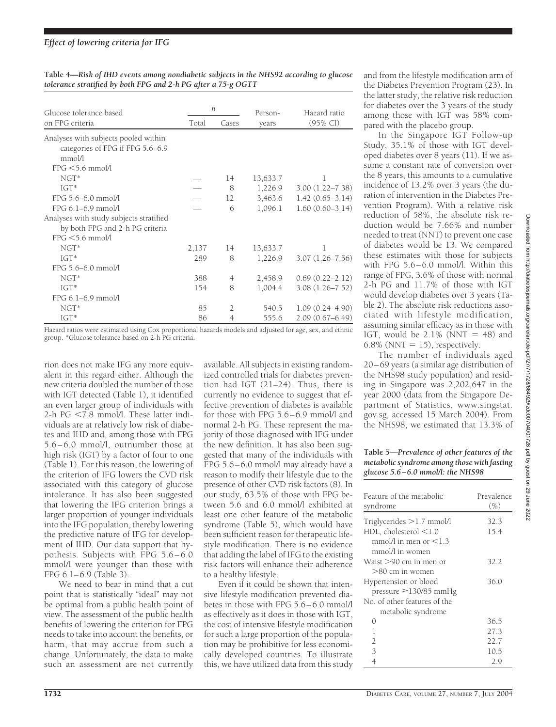| Table 4—Risk of IHD events among nondiabetic subjects in the NHS92 according to glucose |  |
|-----------------------------------------------------------------------------------------|--|
| tolerance stratified by both FPG and 2-h PG after a 75-g OGTT                           |  |

| Glucose tolerance based                                                                                    | n     |                | Person-  | Hazard ratio        |  |
|------------------------------------------------------------------------------------------------------------|-------|----------------|----------|---------------------|--|
| on FPG criteria                                                                                            | Total | Cases          | years    | $(95\% \text{ CI})$ |  |
| Analyses with subjects pooled within<br>categories of FPG if FPG 5.6–6.9<br>mmol/<br>$FPG \leq 5.6$ mmol/l |       |                |          |                     |  |
| $NGT^*$                                                                                                    |       | 14             | 13,633.7 | 1                   |  |
| $IGT^*$                                                                                                    |       | 8              | 1,226.9  | $3.00(1.22 - 7.38)$ |  |
| FPG 5.6–6.0 mmol/l                                                                                         |       | 12             | 3,463.6  | $1.42(0.65 - 3.14)$ |  |
| FPG 6.1–6.9 mmol/l                                                                                         |       | 6              | 1,096.1  | $1.60(0.60-3.14)$   |  |
| Analyses with study subjects stratified<br>by both FPG and 2-h PG criteria<br>$FPG \leq 5.6$ mmol/l        |       |                |          |                     |  |
| $NGT^*$                                                                                                    | 2,137 | 14             | 13,633.7 | 1                   |  |
| $IGT^*$                                                                                                    | 289   | 8              | 1,226.9  | $3.07(1.26 - 7.56)$ |  |
| FPG 5.6–6.0 mmol/l                                                                                         |       |                |          |                     |  |
| $NGT^*$                                                                                                    | 388   | $\overline{4}$ | 2,458.9  | $0.69(0.22 - 2.12)$ |  |
| $IGT^*$                                                                                                    | 154   | 8              | 1,004.4  | $3.08(1.26 - 7.52)$ |  |
| FPG $6.1-6.9$ mmol/l                                                                                       |       |                |          |                     |  |
| $NGT^*$                                                                                                    | 85    | $\mathfrak{D}$ | 540.5    | $1.09(0.24 - 4.90)$ |  |
| $IGT^*$                                                                                                    | 86    | 4              | 555.6    | $2.09(0.67 - 6.49)$ |  |

Hazard ratios were estimated using Cox proportional hazards models and adjusted for age, sex, and ethnic group. \*Glucose tolerance based on 2-h PG criteria.

rion does not make IFG any more equivalent in this regard either. Although the new criteria doubled the number of those with IGT detected (Table 1), it identified an even larger group of individuals with 2-h PG  $\leq 7.8$  mmol/l. These latter individuals are at relatively low risk of diabetes and IHD and, among those with FPG 5.6 – 6.0 mmol/l, outnumber those at high risk (IGT) by a factor of four to one (Table 1). For this reason, the lowering of the criterion of IFG lowers the CVD risk associated with this category of glucose intolerance. It has also been suggested that lowering the IFG criterion brings a larger proportion of younger individuals into the IFG population, thereby lowering the predictive nature of IFG for development of IHD. Our data support that hypothesis. Subjects with FPG 5.6-6.0 mmol/l were younger than those with FPG 6.1–6.9 (Table 3).

We need to bear in mind that a cut point that is statistically "ideal" may not be optimal from a public health point of view. The assessment of the public health benefits of lowering the criterion for FPG needs to take into account the benefits, or harm, that may accrue from such a change. Unfortunately, the data to make such an assessment are not currently

available. All subjects in existing randomized controlled trials for diabetes prevention had IGT (21–24). Thus, there is currently no evidence to suggest that effective prevention of diabetes is available for those with FPG 5.6–6.9 mmol/l and normal 2-h PG. These represent the majority of those diagnosed with IFG under the new definition. It has also been suggested that many of the individuals with FPG 5.6–6.0 mmol/l may already have a reason to modify their lifestyle due to the presence of other CVD risk factors (8). In our study, 63.5% of those with FPG between 5.6 and 6.0 mmol/l exhibited at least one other feature of the metabolic syndrome (Table 5), which would have been sufficient reason for therapeutic lifestyle modification. There is no evidence that adding the label of IFG to the existing risk factors will enhance their adherence to a healthy lifestyle.

Even if it could be shown that intensive lifestyle modification prevented diabetes in those with FPG 5.6–6.0 mmol/l as effectively as it does in those with IGT, the cost of intensive lifestyle modification for such a large proportion of the population may be prohibitive for less economically developed countries. To illustrate this, we have utilized data from this study and from the lifestyle modification arm of the Diabetes Prevention Program (23). In the latter study, the relative risk reduction for diabetes over the 3 years of the study among those with IGT was 58% compared with the placebo group.

In the Singapore IGT Follow-up Study, 35.1% of those with IGT developed diabetes over 8 years (11). If we assume a constant rate of conversion over the 8 years, this amounts to a cumulative incidence of 13.2% over 3 years (the duration of intervention in the Diabetes Prevention Program). With a relative risk reduction of 58%, the absolute risk reduction would be 7.66% and number needed to treat (NNT) to prevent one case of diabetes would be 13. We compared these estimates with those for subjects with FPG 5.6–6.0 mmol/l. Within this range of FPG, 3.6% of those with normal 2-h PG and 11.7% of those with IGT would develop diabetes over 3 years (Table 2). The absolute risk reductions associated with lifestyle modification, assuming similar efficacy as in those with IGT, would be  $2.1\%$  (NNT = 48) and 6.8% (NNT = 15), respectively.

The number of individuals aged 20–69 years (a similar age distribution of the NHS98 study population) and residing in Singapore was 2,202,647 in the year 2000 (data from the Singapore Department of Statistics, www.singstat. gov.sg, accessed 15 March 2004). From the NHS98, we estimated that 13.3% of

#### **Table 5—***Prevalence of other features of the metabolic syndrome among those with fasting glucose 5.6–6.0 mmol/l: the NHS98*

| Feature of the metabolic<br>syndrome | Prevalence<br>$(\% )$ |
|--------------------------------------|-----------------------|
| Triglycerides $>1.7$ mmol/l          | 32.3                  |
| HDL, cholesterol $<1.0$              | 15.4                  |
| mmol/l in men or $\leq$ 1.3          |                       |
| mmol/l in women                      |                       |
| Waist $>90$ cm in men or             | 32.2                  |
| $>80$ cm in women                    |                       |
| Hypertension or blood                | 36.0                  |
| pressure $\geq$ 130/85 mmHg          |                       |
| No. of other features of the         |                       |
| metabolic syndrome                   |                       |
| 0                                    | 36.5                  |
| 1                                    | 27.3                  |
| $\overline{2}$                       | 22.7                  |
| 3                                    | 10.5                  |
|                                      | 2.9                   |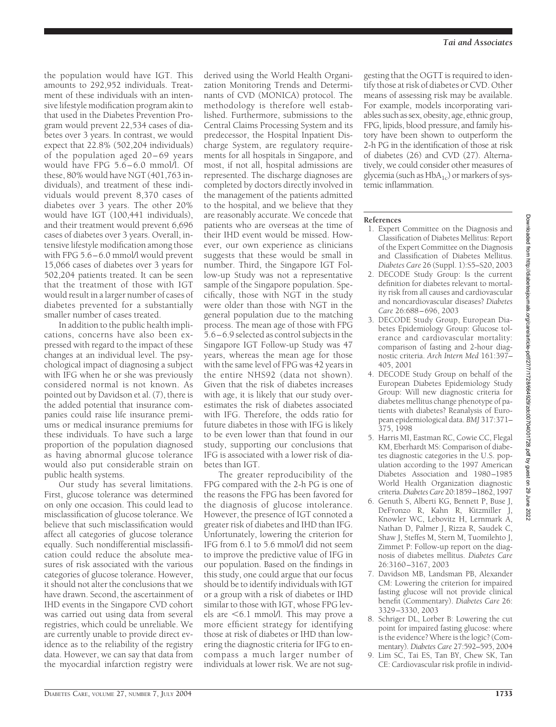the population would have IGT. This amounts to 292,952 individuals. Treatment of these individuals with an intensive lifestyle modification program akin to that used in the Diabetes Prevention Program would prevent 22,534 cases of diabetes over 3 years. In contrast, we would expect that 22.8% (502,204 individuals) of the population aged 20–69 years would have FPG 5.6-6.0 mmol/l. Of these, 80% would have NGT (401,763 individuals), and treatment of these individuals would prevent 8,370 cases of diabetes over 3 years. The other 20% would have IGT (100,441 individuals), and their treatment would prevent 6,696 cases of diabetes over 3 years. Overall, intensive lifestyle modification among those with FPG 5.6–6.0 mmol/l would prevent 15,066 cases of diabetes over 3 years for 502,204 patients treated. It can be seen that the treatment of those with IGT would result in a larger number of cases of diabetes prevented for a substantially smaller number of cases treated.

In addition to the public health implications, concerns have also been expressed with regard to the impact of these changes at an individual level. The psychological impact of diagnosing a subject with IFG when he or she was previously considered normal is not known. As pointed out by Davidson et al. (7), there is the added potential that insurance companies could raise life insurance premiums or medical insurance premiums for these individuals. To have such a large proportion of the population diagnosed as having abnormal glucose tolerance would also put considerable strain on public health systems.

Our study has several limitations. First, glucose tolerance was determined on only one occasion. This could lead to misclassification of glucose tolerance. We believe that such misclassification would affect all categories of glucose tolerance equally. Such nondifferential misclassification could reduce the absolute measures of risk associated with the various categories of glucose tolerance. However, it should not alter the conclusions that we have drawn. Second, the ascertainment of IHD events in the Singapore CVD cohort was carried out using data from several registries, which could be unreliable. We are currently unable to provide direct evidence as to the reliability of the registry data. However, we can say that data from the myocardial infarction registry were

derived using the World Health Organization Monitoring Trends and Determinants of CVD (MONICA) protocol. The methodology is therefore well established. Furthermore, submissions to the Central Claims Processing System and its predecessor, the Hospital Inpatient Discharge System, are regulatory requirements for all hospitals in Singapore, and most, if not all, hospital admissions are represented. The discharge diagnoses are completed by doctors directly involved in the management of the patients admitted to the hospital, and we believe that they are reasonably accurate. We concede that patients who are overseas at the time of their IHD event would be missed. However, our own experience as clinicians suggests that these would be small in number. Third, the Singapore IGT Follow-up Study was not a representative sample of the Singapore population. Specifically, those with NGT in the study were older than those with NGT in the general population due to the matching process. The mean age of those with FPG 5.6–6.9 selected as control subjects in the Singapore IGT Follow-up Study was 47 years, whereas the mean age for those with the same level of FPG was 42 years in the entire NHS92 (data not shown). Given that the risk of diabetes increases with age, it is likely that our study overestimates the risk of diabetes associated with IFG. Therefore, the odds ratio for future diabetes in those with IFG is likely to be even lower than that found in our study, supporting our conclusions that IFG is associated with a lower risk of diabetes than IGT.

The greater reproducibility of the FPG compared with the 2-h PG is one of the reasons the FPG has been favored for the diagnosis of glucose intolerance. However, the presence of IGT connoted a greater risk of diabetes and IHD than IFG. Unfortunately, lowering the criterion for IFG from 6.1 to 5.6 mmol/l did not seem to improve the predictive value of IFG in our population. Based on the findings in this study, one could argue that our focus should be to identify individuals with IGT or a group with a risk of diabetes or IHD similar to those with IGT, whose FPG levels are  $\leq 6.1$  mmol/l. This may prove a more efficient strategy for identifying those at risk of diabetes or IHD than lowering the diagnostic criteria for IFG to encompass a much larger number of individuals at lower risk. We are not sug-

gesting that the OGTT is required to identify those at risk of diabetes or CVD. Other means of assessing risk may be available. For example, models incorporating variables such as sex, obesity, age, ethnic group, FPG, lipids, blood pressure, and family history have been shown to outperform the 2-h PG in the identification of those at risk of diabetes (26) and CVD (27). Alternatively, we could consider other measures of glycemia (such as  $HbA_{1c}$ ) or markers of systemic inflammation.

#### **References**

- 1. Expert Committee on the Diagnosis and Classification of Diabetes Mellitus: Report of the Expert Committee on the Diagnosis and Classification of Diabetes Mellitus. *Diabetes Care* 26 (Suppl. 1):S5–S20, 2003
- 2. DECODE Study Group: Is the current definition for diabetes relevant to mortality risk from all causes and cardiovascular and noncardiovascular diseases? *Diabetes Care* 26:688–696, 2003
- 3. DECODE Study Group, European Diabetes Epidemiology Group: Glucose tolerance and cardiovascular mortality: comparison of fasting and 2-hour diagnostic criteria. *Arch Intern Med* 161:397– 405, 2001
- 4. DECODE Study Group on behalf of the European Diabetes Epidemiology Study Group: Will new diagnostic criteria for diabetes mellitus change phenotype of patients with diabetes? Reanalysis of European epidemiological data. *BMJ* 317:371– 375, 1998
- 5. Harris MI, Eastman RC, Cowie CC, Flegal KM, Eberhardt MS: Comparison of diabetes diagnostic categories in the U.S. population according to the 1997 American Diabetes Association and 1980–1985 World Health Organization diagnostic criteria.*Diabetes Care* 20:1859–1862, 1997
- 6. Genuth S, Alberti KG, Bennett P, Buse J, DeFronzo R, Kahn R, Kitzmiller J, Knowler WC, Lebovitz H, Lernmark A, Nathan D, Palmer J, Rizza R, Saudek C, Shaw J, Steffes M, Stern M, Tuomilehto J, Zimmet P: Follow-up report on the diagnosis of diabetes mellitus. *Diabetes Care* 26:3160–3167, 2003
- 7. Davidson MB, Landsman PB, Alexander CM: Lowering the criterion for impaired fasting glucose will not provide clinical benefit (Commentary). *Diabetes Care* 26: 3329–3330, 2003
- 8. Schriger DL, Lorber B: Lowering the cut point for impaired fasting glucose: where is the evidence? Where is the logic? (Commentary). *Diabetes Care* 27:592–595, 2004
- 9. Lim SC, Tai ES, Tan BY, Chew SK, Tan CE: Cardiovascular risk profile in individ-